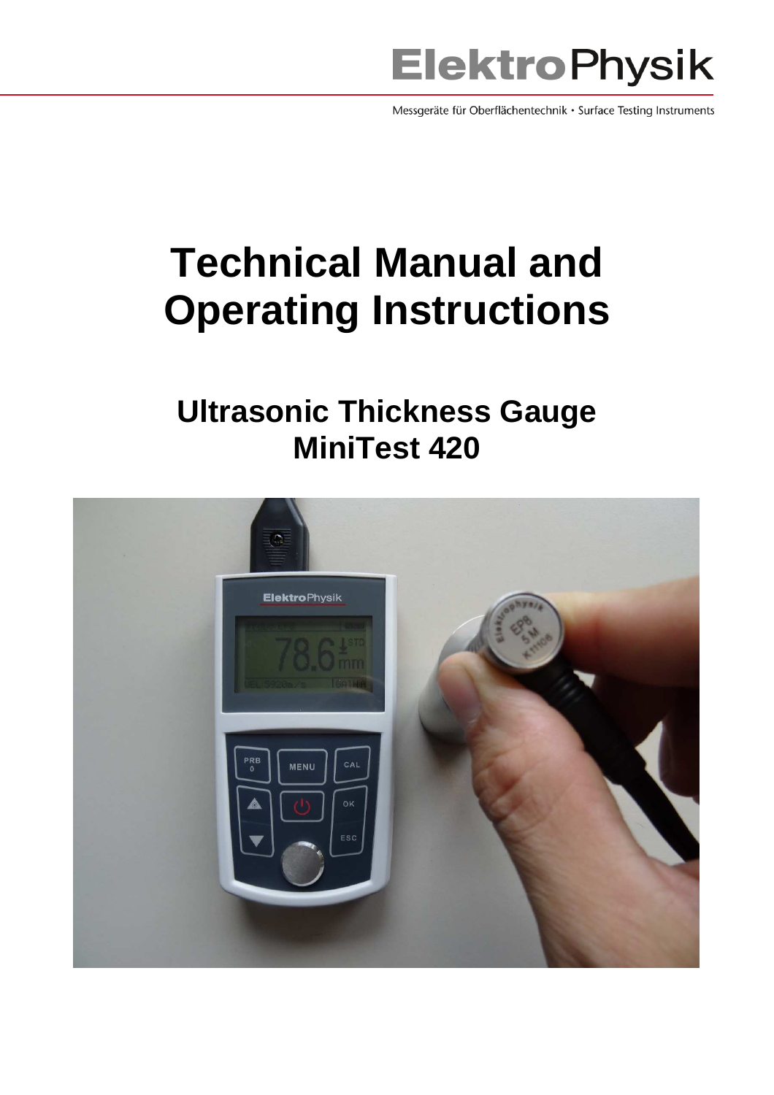

Messgeräte für Oberflächentechnik · Surface Testing Instruments

# **Technical Manual and Operating Instructions**

# **Ultrasonic Thickness Gauge MiniTest 420**

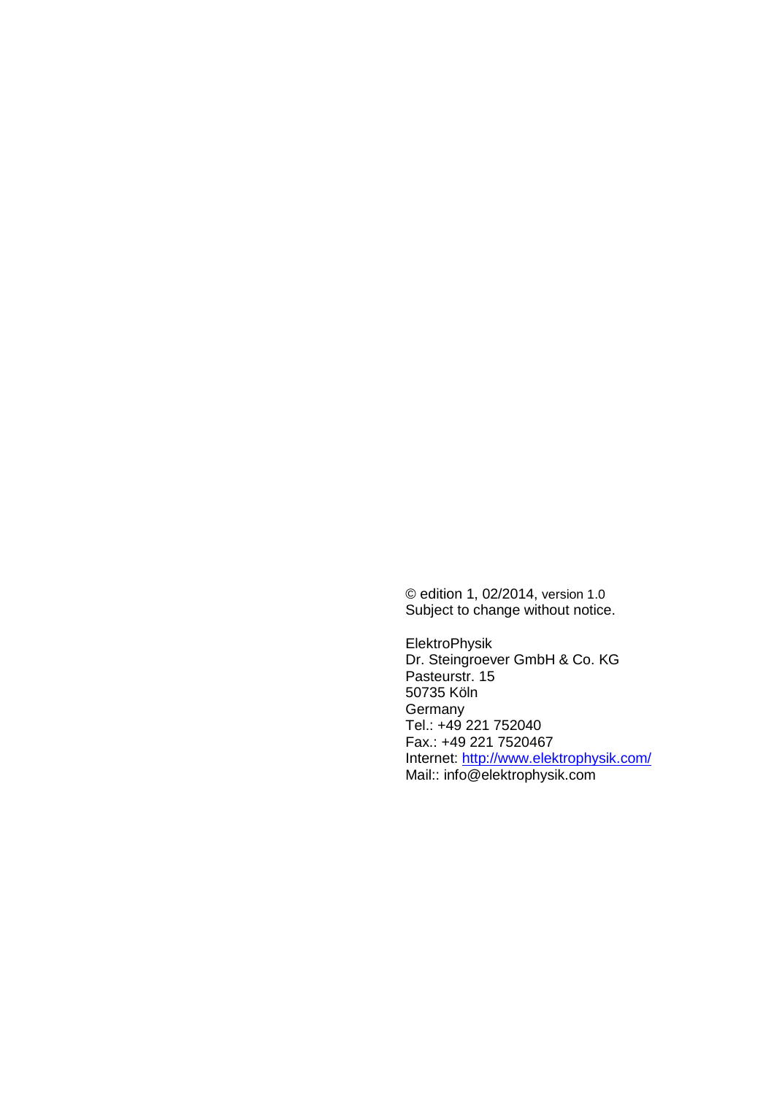© edition 1, 02/2014, version 1.0 Subject to change without notice.

ElektroPhysik Dr. Steingroever GmbH & Co. KG Pasteurstr. 15 50735 Köln Germany Tel.: +49 221 752040 Fax.: +49 221 7520467 Internet: http://www.elektrophysik.com/ Mail:: info@elektrophysik.com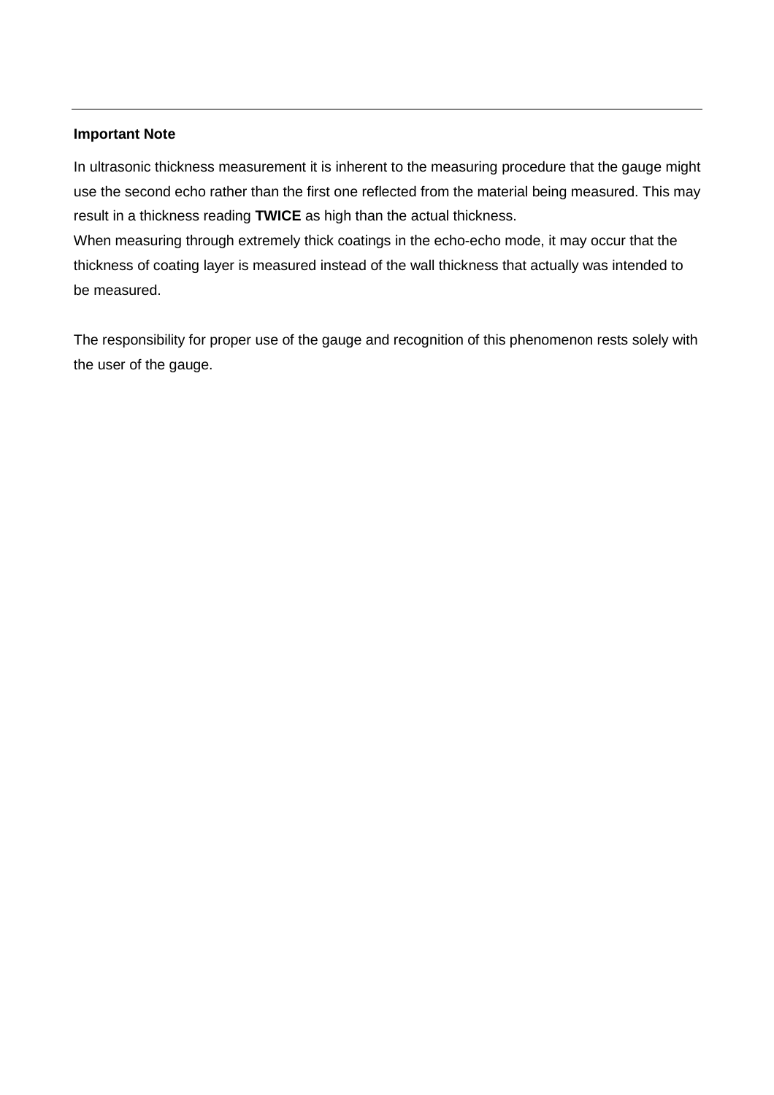#### **Important Note**

In ultrasonic thickness measurement it is inherent to the measuring procedure that the gauge might use the second echo rather than the first one reflected from the material being measured. This may result in a thickness reading **TWICE** as high than the actual thickness.

When measuring through extremely thick coatings in the echo-echo mode, it may occur that the thickness of coating layer is measured instead of the wall thickness that actually was intended to be measured.

The responsibility for proper use of the gauge and recognition of this phenomenon rests solely with the user of the gauge.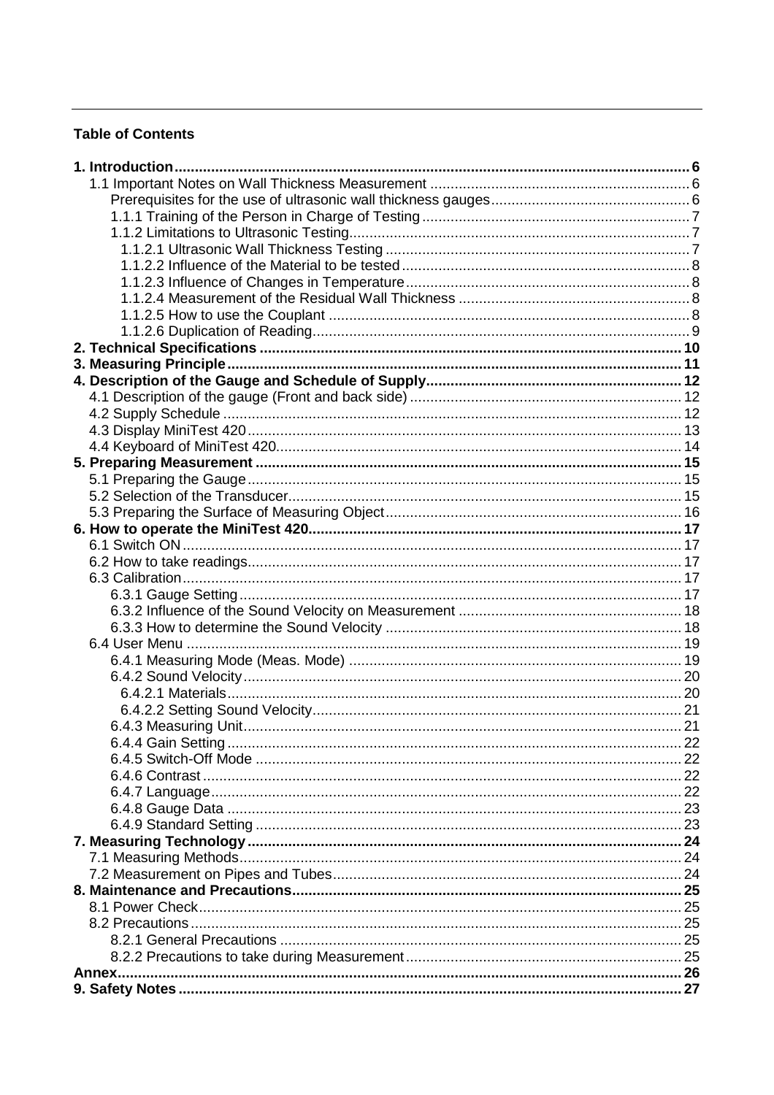### **Table of Contents**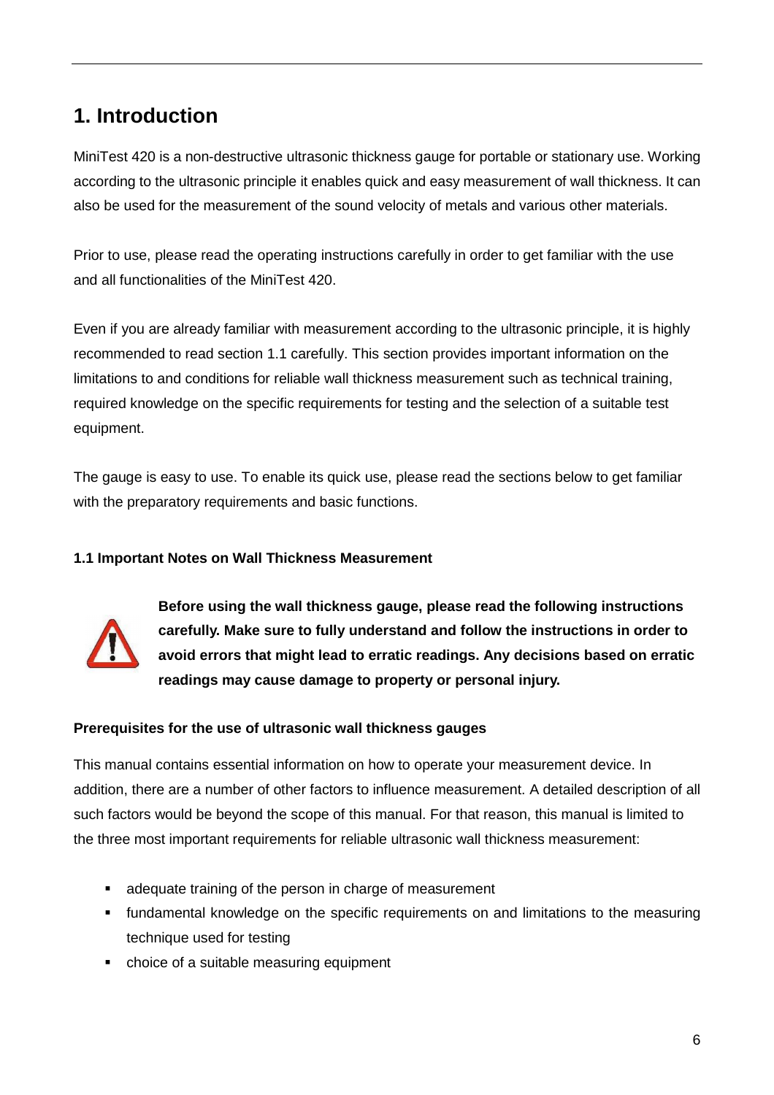# **1. Introduction**

MiniTest 420 is a non-destructive ultrasonic thickness gauge for portable or stationary use. Working according to the ultrasonic principle it enables quick and easy measurement of wall thickness. It can also be used for the measurement of the sound velocity of metals and various other materials.

Prior to use, please read the operating instructions carefully in order to get familiar with the use and all functionalities of the MiniTest 420.

Even if you are already familiar with measurement according to the ultrasonic principle, it is highly recommended to read section 1.1 carefully. This section provides important information on the limitations to and conditions for reliable wall thickness measurement such as technical training, required knowledge on the specific requirements for testing and the selection of a suitable test equipment.

The gauge is easy to use. To enable its quick use, please read the sections below to get familiar with the preparatory requirements and basic functions.

# **1.1 Important Notes on Wall Thickness Measurement**



**Before using the wall thickness gauge, please read the following instructions carefully. Make sure to fully understand and follow the instructions in order to avoid errors that might lead to erratic readings. Any decisions based on erratic readings may cause damage to property or personal injury.** 

# **Prerequisites for the use of ultrasonic wall thickness gauges**

This manual contains essential information on how to operate your measurement device. In addition, there are a number of other factors to influence measurement. A detailed description of all such factors would be beyond the scope of this manual. For that reason, this manual is limited to the three most important requirements for reliable ultrasonic wall thickness measurement:

- adequate training of the person in charge of measurement
- **F** fundamental knowledge on the specific requirements on and limitations to the measuring technique used for testing
- choice of a suitable measuring equipment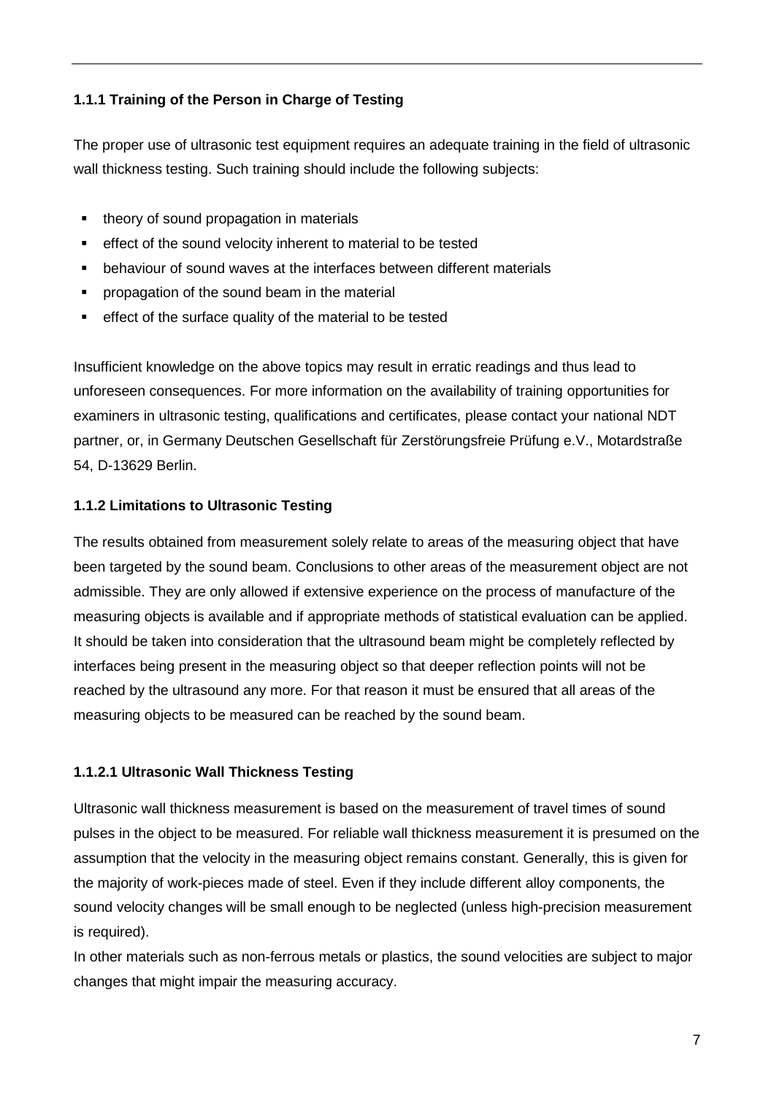# **1.1.1 Training of the Person in Charge of Testing**

The proper use of ultrasonic test equipment requires an adequate training in the field of ultrasonic wall thickness testing. Such training should include the following subjects:

- theory of sound propagation in materials
- effect of the sound velocity inherent to material to be tested
- behaviour of sound waves at the interfaces between different materials
- propagation of the sound beam in the material
- effect of the surface quality of the material to be tested

Insufficient knowledge on the above topics may result in erratic readings and thus lead to unforeseen consequences. For more information on the availability of training opportunities for examiners in ultrasonic testing, qualifications and certificates, please contact your national NDT partner, or, in Germany Deutschen Gesellschaft für Zerstörungsfreie Prüfung e.V., Motardstraße 54, D-13629 Berlin.

# **1.1.2 Limitations to Ultrasonic Testing**

The results obtained from measurement solely relate to areas of the measuring object that have been targeted by the sound beam. Conclusions to other areas of the measurement object are not admissible. They are only allowed if extensive experience on the process of manufacture of the measuring objects is available and if appropriate methods of statistical evaluation can be applied. It should be taken into consideration that the ultrasound beam might be completely reflected by interfaces being present in the measuring object so that deeper reflection points will not be reached by the ultrasound any more. For that reason it must be ensured that all areas of the measuring objects to be measured can be reached by the sound beam.

# **1.1.2.1 Ultrasonic Wall Thickness Testing**

Ultrasonic wall thickness measurement is based on the measurement of travel times of sound pulses in the object to be measured. For reliable wall thickness measurement it is presumed on the assumption that the velocity in the measuring object remains constant. Generally, this is given for the majority of work-pieces made of steel. Even if they include different alloy components, the sound velocity changes will be small enough to be neglected (unless high-precision measurement is required).

In other materials such as non-ferrous metals or plastics, the sound velocities are subject to major changes that might impair the measuring accuracy.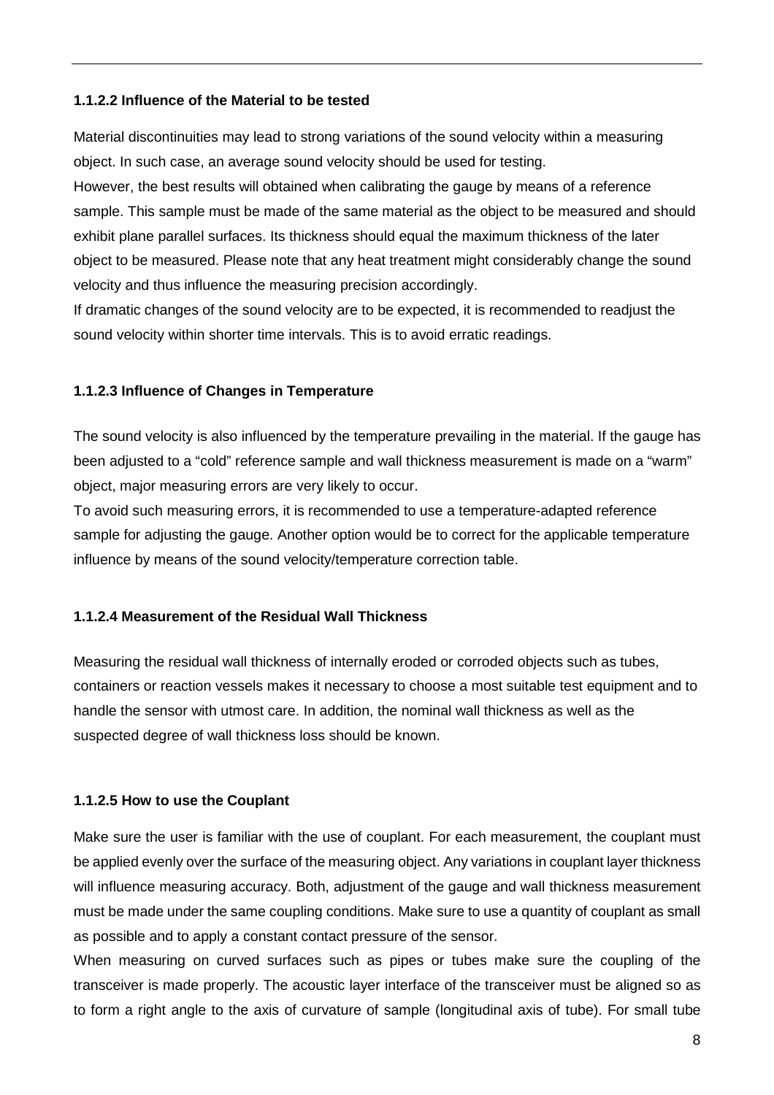#### **1.1.2.2 Influence of the Material to be tested**

Material discontinuities may lead to strong variations of the sound velocity within a measuring object. In such case, an average sound velocity should be used for testing.

However, the best results will obtained when calibrating the gauge by means of a reference sample. This sample must be made of the same material as the object to be measured and should exhibit plane parallel surfaces. Its thickness should equal the maximum thickness of the later object to be measured. Please note that any heat treatment might considerably change the sound velocity and thus influence the measuring precision accordingly.

If dramatic changes of the sound velocity are to be expected, it is recommended to readjust the sound velocity within shorter time intervals. This is to avoid erratic readings.

# **1.1.2.3 Influence of Changes in Temperature**

The sound velocity is also influenced by the temperature prevailing in the material. If the gauge has been adjusted to a "cold" reference sample and wall thickness measurement is made on a "warm" object, major measuring errors are very likely to occur.

To avoid such measuring errors, it is recommended to use a temperature-adapted reference sample for adjusting the gauge. Another option would be to correct for the applicable temperature influence by means of the sound velocity/temperature correction table.

# **1.1.2.4 Measurement of the Residual Wall Thickness**

Measuring the residual wall thickness of internally eroded or corroded objects such as tubes, containers or reaction vessels makes it necessary to choose a most suitable test equipment and to handle the sensor with utmost care. In addition, the nominal wall thickness as well as the suspected degree of wall thickness loss should be known.

# **1.1.2.5 How to use the Couplant**

Make sure the user is familiar with the use of couplant. For each measurement, the couplant must be applied evenly over the surface of the measuring object. Any variations in couplant layer thickness will influence measuring accuracy. Both, adjustment of the gauge and wall thickness measurement must be made under the same coupling conditions. Make sure to use a quantity of couplant as small as possible and to apply a constant contact pressure of the sensor.

When measuring on curved surfaces such as pipes or tubes make sure the coupling of the transceiver is made properly. The acoustic layer interface of the transceiver must be aligned so as to form a right angle to the axis of curvature of sample (longitudinal axis of tube). For small tube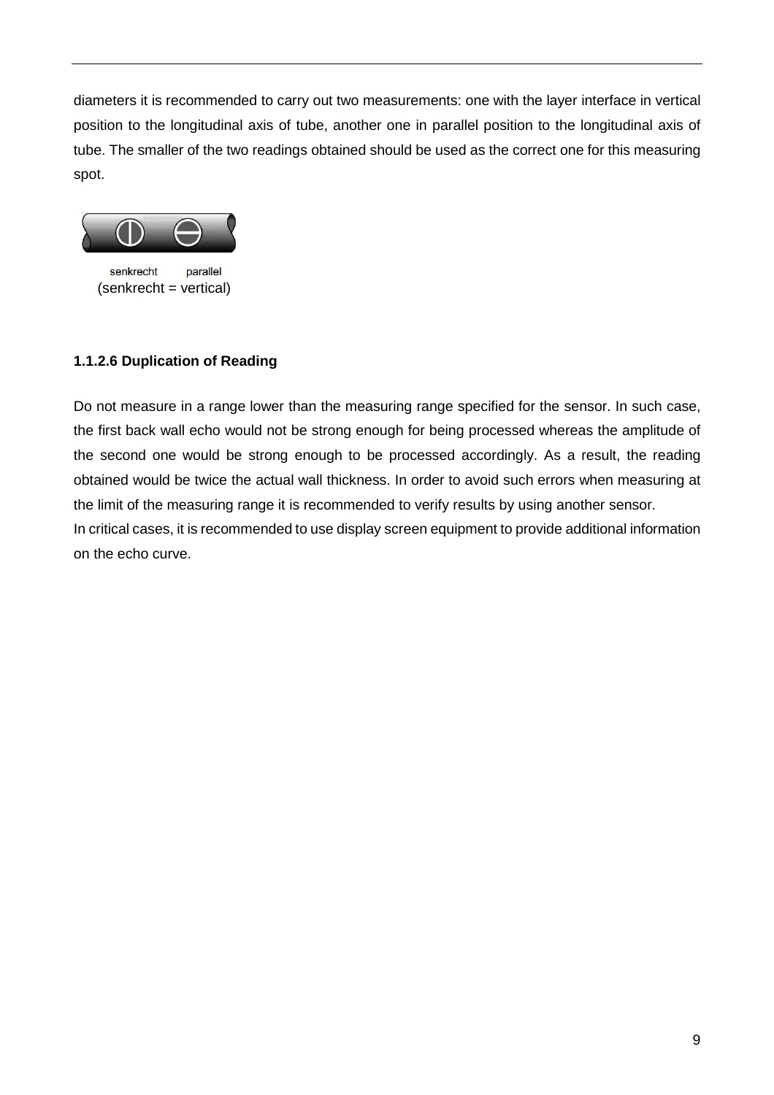diameters it is recommended to carry out two measurements: one with the layer interface in vertical position to the longitudinal axis of tube, another one in parallel position to the longitudinal axis of tube. The smaller of the two readings obtained should be used as the correct one for this measuring spot.



parallel senkrecht (senkrecht = vertical)

# **1.1.2.6 Duplication of Reading**

Do not measure in a range lower than the measuring range specified for the sensor. In such case, the first back wall echo would not be strong enough for being processed whereas the amplitude of the second one would be strong enough to be processed accordingly. As a result, the reading obtained would be twice the actual wall thickness. In order to avoid such errors when measuring at the limit of the measuring range it is recommended to verify results by using another sensor. In critical cases, it is recommended to use display screen equipment to provide additional information on the echo curve.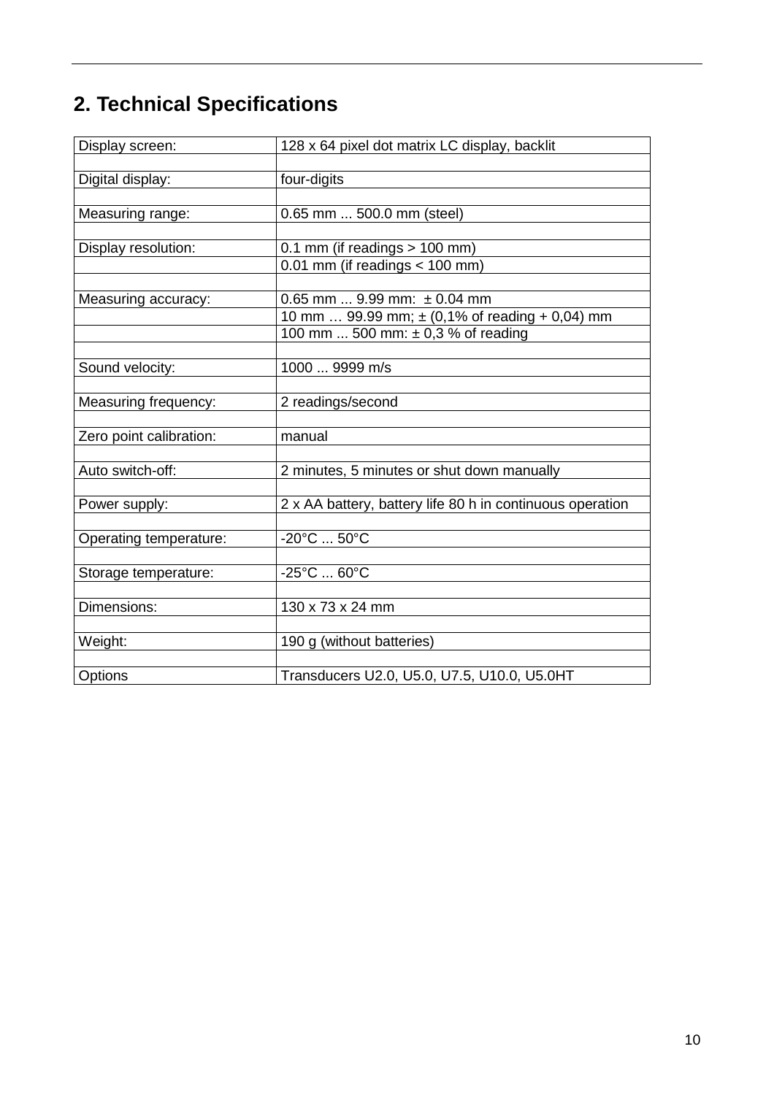# **2. Technical Specifications**

| Display screen:         | 128 x 64 pixel dot matrix LC display, backlit                           |
|-------------------------|-------------------------------------------------------------------------|
|                         |                                                                         |
| Digital display:        | four-digits                                                             |
|                         |                                                                         |
| Measuring range:        | 0.65 mm  500.0 mm (steel)                                               |
|                         |                                                                         |
| Display resolution:     | $0.1$ mm (if readings $> 100$ mm)<br>$0.01$ mm (if readings $<$ 100 mm) |
|                         |                                                                         |
| Measuring accuracy:     | $0.65$ mm  9.99 mm: $\pm 0.04$ mm                                       |
|                         | 10 mm  99.99 mm; $\pm$ (0,1% of reading + 0,04) mm                      |
|                         | 100 mm  500 mm: $\pm$ 0,3 % of reading                                  |
|                         |                                                                         |
| Sound velocity:         | 1000  9999 m/s                                                          |
|                         |                                                                         |
| Measuring frequency:    | 2 readings/second                                                       |
|                         |                                                                         |
| Zero point calibration: | manual                                                                  |
| Auto switch-off:        | 2 minutes, 5 minutes or shut down manually                              |
|                         |                                                                         |
| Power supply:           | 2 x AA battery, battery life 80 h in continuous operation               |
|                         |                                                                         |
| Operating temperature:  | $-20^{\circ}$ C  50 $^{\circ}$ C                                        |
|                         |                                                                         |
| Storage temperature:    | $-25^{\circ}$ C  60 $^{\circ}$ C                                        |
|                         |                                                                         |
| Dimensions:             | 130 x 73 x 24 mm                                                        |
|                         |                                                                         |
| Weight:                 | 190 g (without batteries)                                               |
| Options                 | Transducers U2.0, U5.0, U7.5, U10.0, U5.0HT                             |
|                         |                                                                         |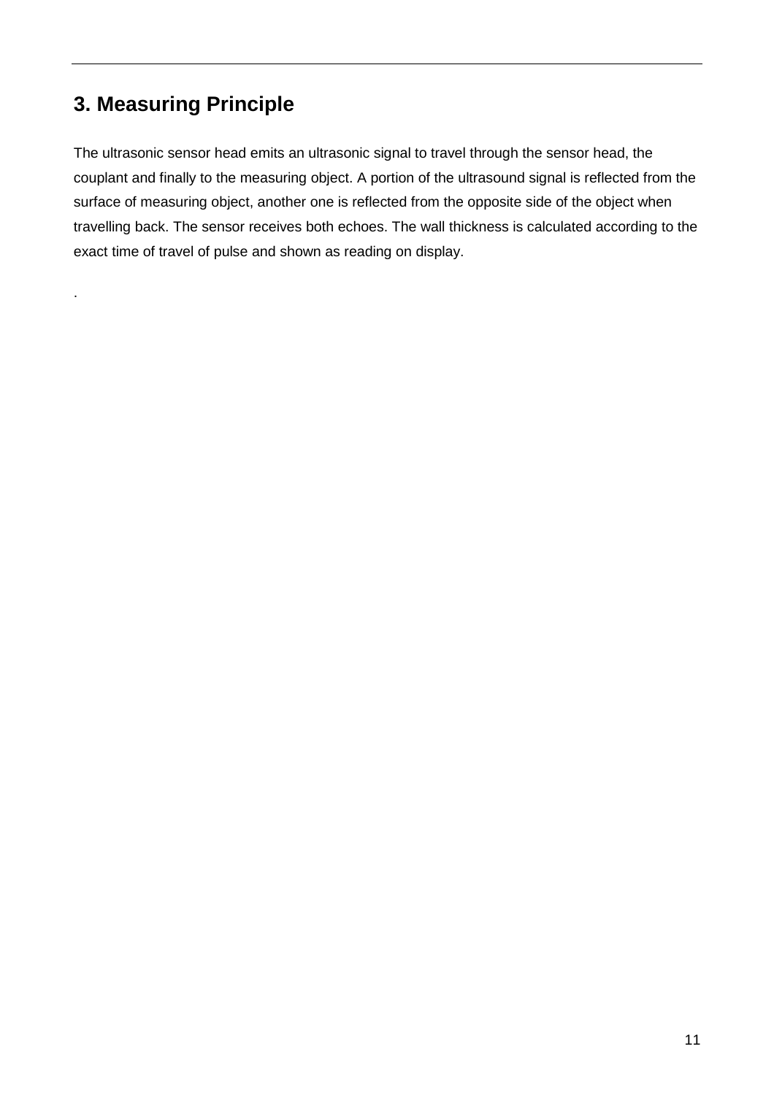# **3. Measuring Principle**

.

The ultrasonic sensor head emits an ultrasonic signal to travel through the sensor head, the couplant and finally to the measuring object. A portion of the ultrasound signal is reflected from the surface of measuring object, another one is reflected from the opposite side of the object when travelling back. The sensor receives both echoes. The wall thickness is calculated according to the exact time of travel of pulse and shown as reading on display.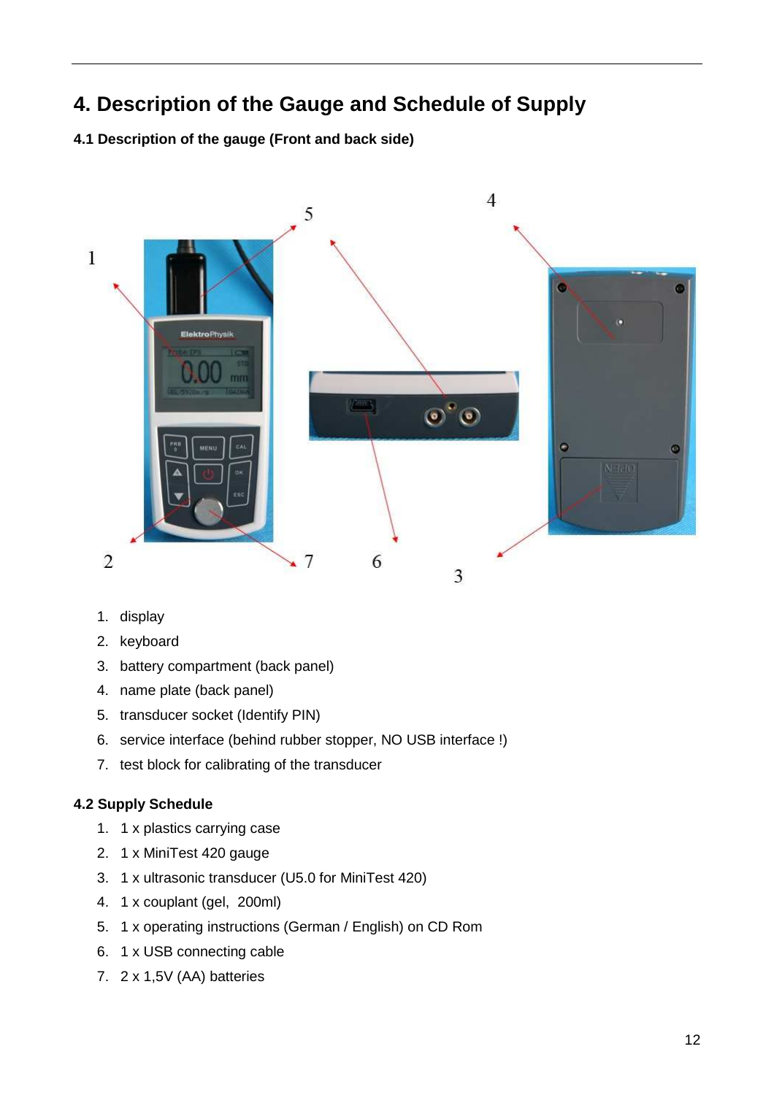# **4. Description of the Gauge and Schedule of Supply**

**4.1 Description of the gauge (Front and back side)** 



- 1. display
- 2. keyboard
- 3. battery compartment (back panel)
- 4. name plate (back panel)
- 5. transducer socket (Identify PIN)
- 6. service interface (behind rubber stopper, NO USB interface !)
- 7. test block for calibrating of the transducer

# **4.2 Supply Schedule**

- 1. 1 x plastics carrying case
- 2. 1 x MiniTest 420 gauge
- 3. 1 x ultrasonic transducer (U5.0 for MiniTest 420)
- 4. 1 x couplant (gel, 200ml)
- 5. 1 x operating instructions (German / English) on CD Rom
- 6. 1 x USB connecting cable
- 7. 2 x 1,5V (AA) batteries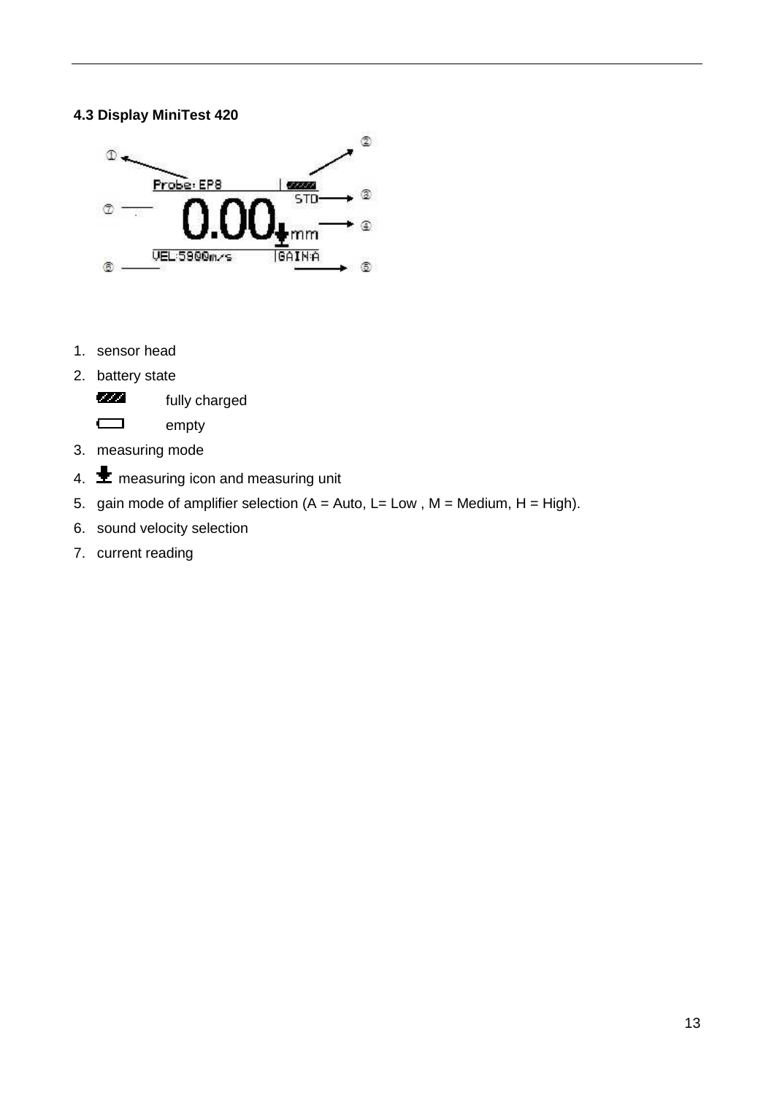# **4.3 Display MiniTest 420**



- 1. sensor head
- 2. battery state

**fully charged** 

empty

- 3. measuring mode
- 4.  $\bigstar$  measuring icon and measuring unit
- 5. gain mode of amplifier selection  $(A = Auto, L = Low, M = Medium, H = High)$ .
- 6. sound velocity selection
- 7. current reading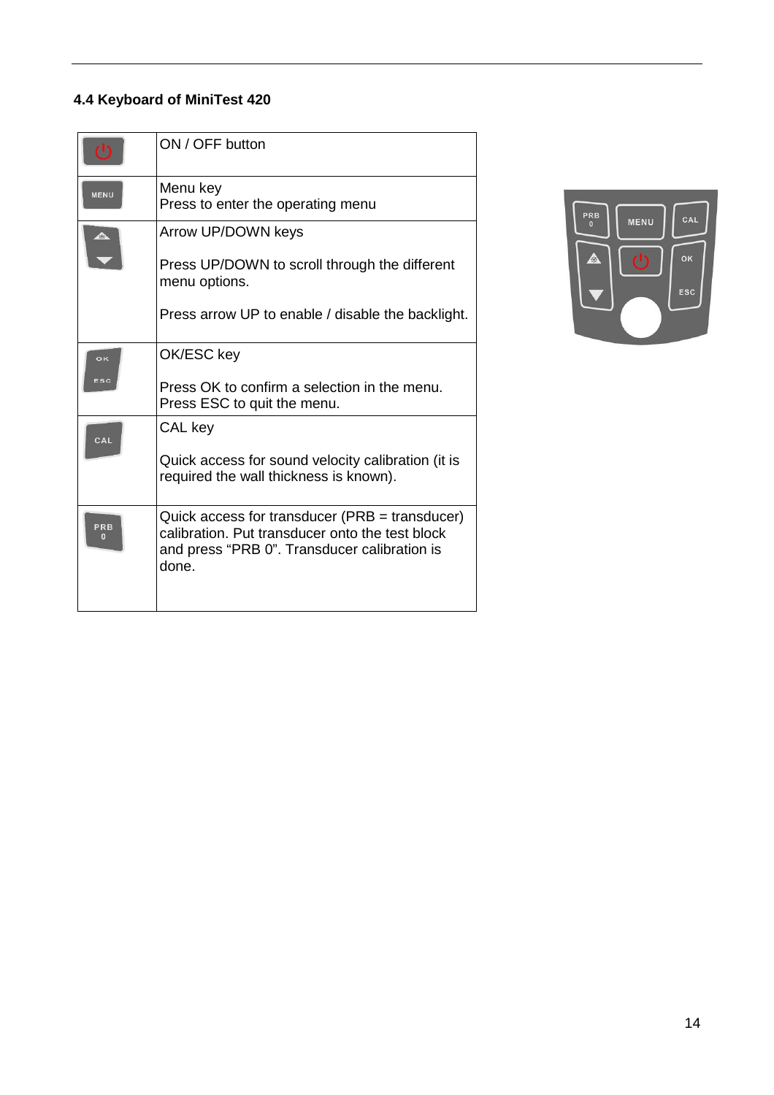# **4.4 Keyboard of MiniTest 420**

|                       | ON / OFF button                                                                                                                                            |
|-----------------------|------------------------------------------------------------------------------------------------------------------------------------------------------------|
| <b>MENU</b>           | Menu key<br>Press to enter the operating menu                                                                                                              |
| $\blacktriangle$      | Arrow UP/DOWN keys                                                                                                                                         |
|                       | Press UP/DOWN to scroll through the different<br>menu options.                                                                                             |
|                       | Press arrow UP to enable / disable the backlight.                                                                                                          |
| oĸ                    | OK/ESC key                                                                                                                                                 |
| ESC                   | Press OK to confirm a selection in the menu.<br>Press ESC to quit the menu.                                                                                |
| CAL                   | CAL key                                                                                                                                                    |
|                       | Quick access for sound velocity calibration (it is<br>required the wall thickness is known).                                                               |
| PRB<br>$\overline{0}$ | Quick access for transducer (PRB = transducer)<br>calibration. Put transducer onto the test block<br>and press "PRB 0". Transducer calibration is<br>done. |

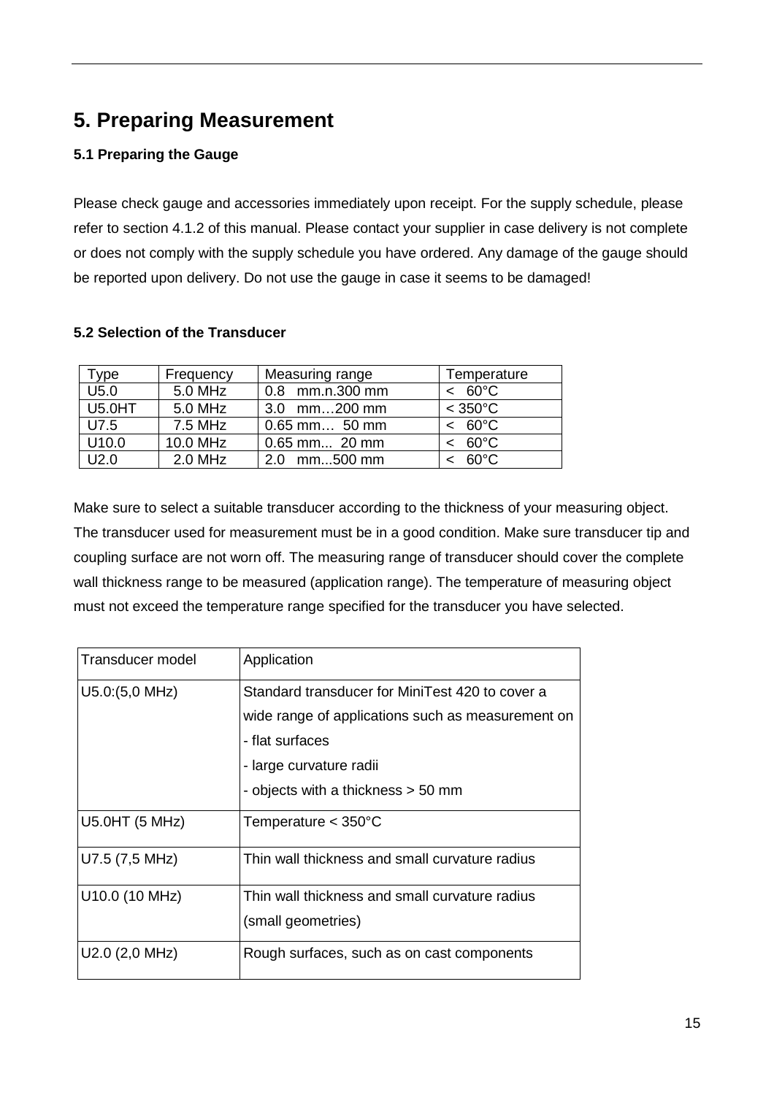# **5. Preparing Measurement**

# **5.1 Preparing the Gauge**

Please check gauge and accessories immediately upon receipt. For the supply schedule, please refer to section 4.1.2 of this manual. Please contact your supplier in case delivery is not complete or does not comply with the supply schedule you have ordered. Any damage of the gauge should be reported upon delivery. Do not use the gauge in case it seems to be damaged!

# **5.2 Selection of the Transducer**

| $^{\mathsf{Type}}$ | Frequency | Measuring range | Temperature          |
|--------------------|-----------|-----------------|----------------------|
| U5.0               | 5.0 MHz   | 0.8 mm.n.300 mm | $< 60^{\circ}$ C     |
| <b>U5.0HT</b>      | 5.0 MHz   | 3.0 mm200 mm    | $<$ 350 $^{\circ}$ C |
| U7.5               | 7.5 MHz   | $0.65$ mm 50 mm | $< 60^{\circ}$ C     |
| U10.0              | 10.0 MHz  | 0.65 mm 20 mm   | $< 60^{\circ}$ C     |
| U2.0               | 2.0 MHz   | $2.0$ mm500 mm  | $60^{\circ}$ C       |

Make sure to select a suitable transducer according to the thickness of your measuring object. The transducer used for measurement must be in a good condition. Make sure transducer tip and coupling surface are not worn off. The measuring range of transducer should cover the complete wall thickness range to be measured (application range). The temperature of measuring object must not exceed the temperature range specified for the transducer you have selected.

| <b>Transducer model</b> | Application                                       |
|-------------------------|---------------------------------------------------|
| $U5.0(5,0 \text{ MHz})$ | Standard transducer for MiniTest 420 to cover a   |
|                         | wide range of applications such as measurement on |
|                         | - flat surfaces                                   |
|                         | - large curvature radii                           |
|                         | - objects with a thickness > 50 mm                |
| U5.0HT (5 MHz)          | Temperature $<$ 350 $^{\circ}$ C                  |
| U7.5 (7,5 MHz)          | Thin wall thickness and small curvature radius    |
| U10.0 (10 MHz)          | Thin wall thickness and small curvature radius    |
|                         | (small geometries)                                |
| U2.0 (2,0 MHz)          | Rough surfaces, such as on cast components        |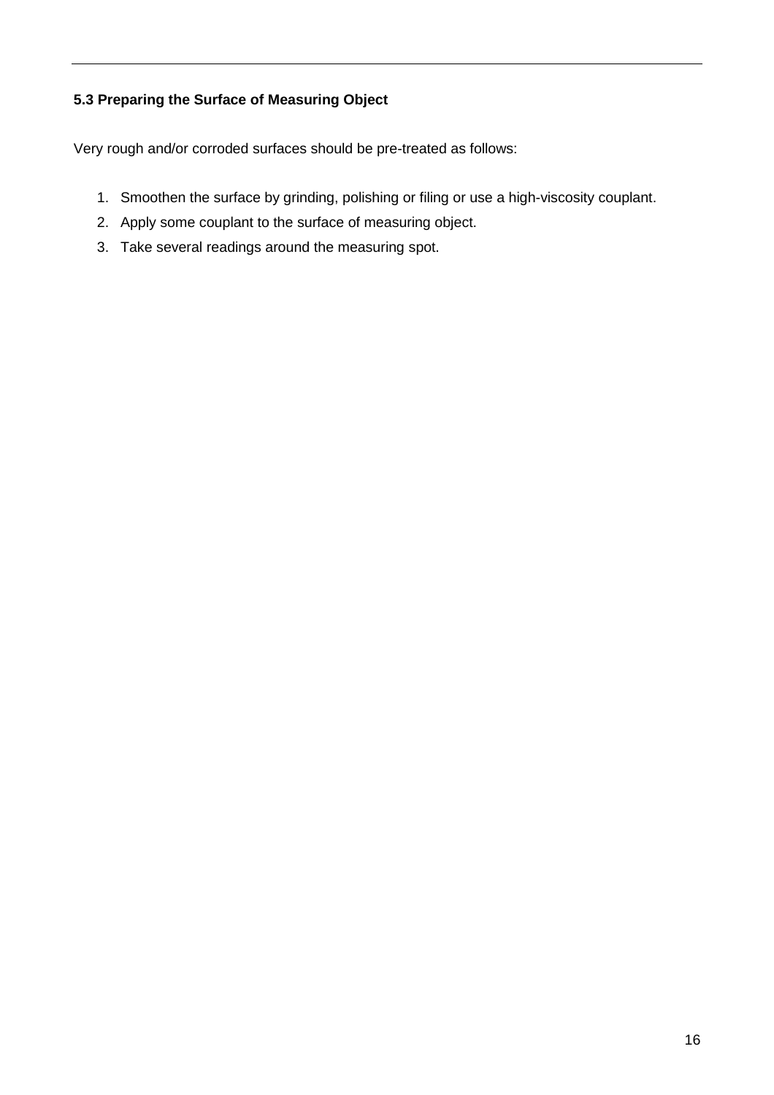# **5.3 Preparing the Surface of Measuring Object**

Very rough and/or corroded surfaces should be pre-treated as follows:

- 1. Smoothen the surface by grinding, polishing or filing or use a high-viscosity couplant.
- 2. Apply some couplant to the surface of measuring object.
- 3. Take several readings around the measuring spot.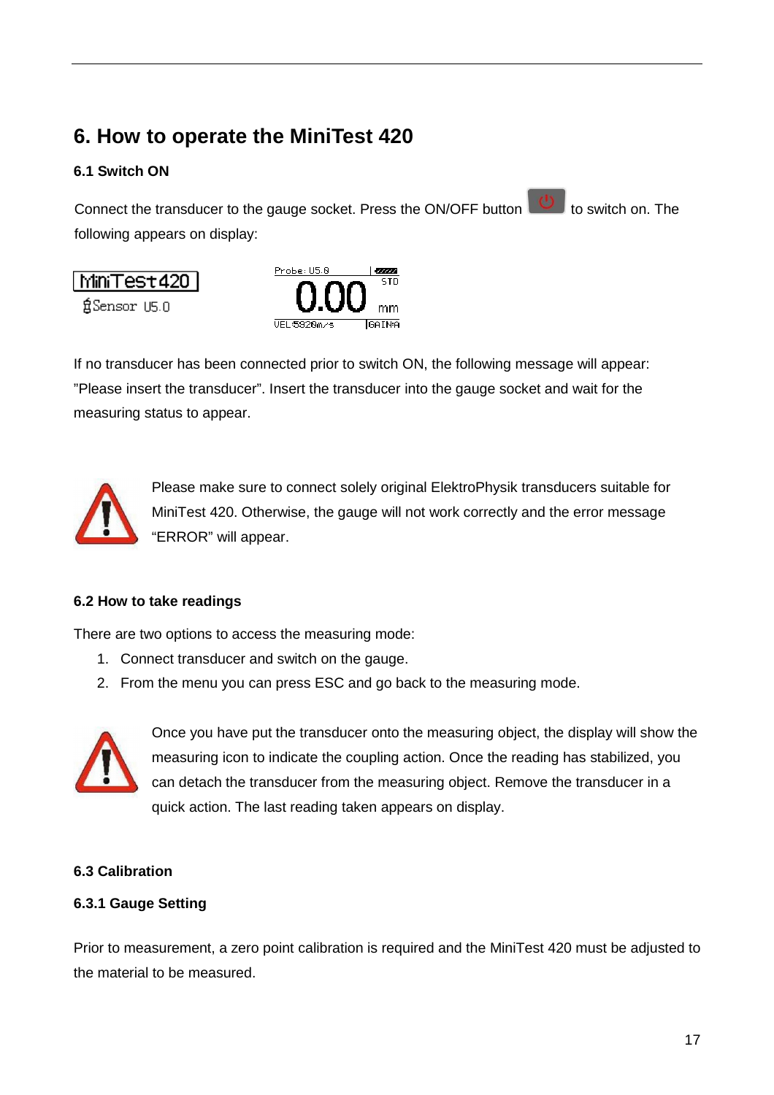# **6. How to operate the MiniTest 420**

# **6.1 Switch ON**

MiniTest420

自Sensor U5.0

Ļ

Connect the transducer to the gauge socket. Press the ON/OFF button to switch on. The following appears on display:



If no transducer has been connected prior to switch ON, the following message will appear: "Please insert the transducer". Insert the transducer into the gauge socket and wait for the measuring status to appear.



Please make sure to connect solely original ElektroPhysik transducers suitable for MiniTest 420. Otherwise, the gauge will not work correctly and the error message "ERROR" will appear.

# **6.2 How to take readings**

There are two options to access the measuring mode:

- 1. Connect transducer and switch on the gauge.
- 2. From the menu you can press ESC and go back to the measuring mode.



Once you have put the transducer onto the measuring object, the display will show the measuring icon to indicate the coupling action. Once the reading has stabilized, you can detach the transducer from the measuring object. Remove the transducer in a quick action. The last reading taken appears on display.

# **6.3 Calibration**

# **6.3.1 Gauge Setting**

Prior to measurement, a zero point calibration is required and the MiniTest 420 must be adjusted to the material to be measured.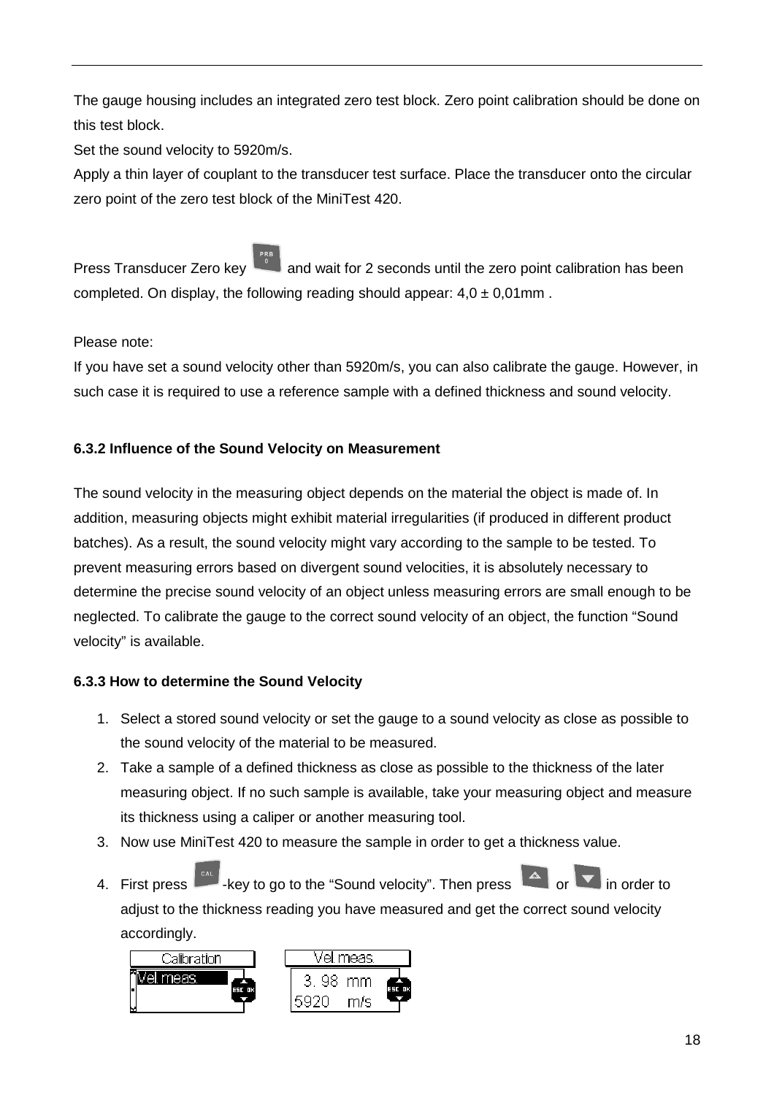The gauge housing includes an integrated zero test block. Zero point calibration should be done on this test block.

Set the sound velocity to 5920m/s.

Apply a thin layer of couplant to the transducer test surface. Place the transducer onto the circular zero point of the zero test block of the MiniTest 420.

Press Transducer Zero key and wait for 2 seconds until the zero point calibration has been completed. On display, the following reading should appear:  $4.0 \pm 0.01$  mm.

Please note:

If you have set a sound velocity other than 5920m/s, you can also calibrate the gauge. However, in such case it is required to use a reference sample with a defined thickness and sound velocity.

# **6.3.2 Influence of the Sound Velocity on Measurement**

The sound velocity in the measuring object depends on the material the object is made of. In addition, measuring objects might exhibit material irregularities (if produced in different product batches). As a result, the sound velocity might vary according to the sample to be tested. To prevent measuring errors based on divergent sound velocities, it is absolutely necessary to determine the precise sound velocity of an object unless measuring errors are small enough to be neglected. To calibrate the gauge to the correct sound velocity of an object, the function "Sound velocity" is available.

# **6.3.3 How to determine the Sound Velocity**

- 1. Select a stored sound velocity or set the gauge to a sound velocity as close as possible to the sound velocity of the material to be measured.
- 2. Take a sample of a defined thickness as close as possible to the thickness of the later measuring object. If no such sample is available, take your measuring object and measure its thickness using a caliper or another measuring tool.
- 3. Now use MiniTest 420 to measure the sample in order to get a thickness value.
- 4. First press  $\begin{array}{|c|c|c|c|c|}\n\hline\n\text{4. First press} & \text{#} & \text{#} \\
\hline\n\end{array}$  -key to go to the "Sound velocity". Then press  $\begin{array}{|c|c|c|c|}\n\hline\n\text{4. First press} & \text{#} & \text{#} & \text{#} \\
\hline\n\end{array}$ adjust to the thickness reading you have measured and get the correct sound velocity accordingly.

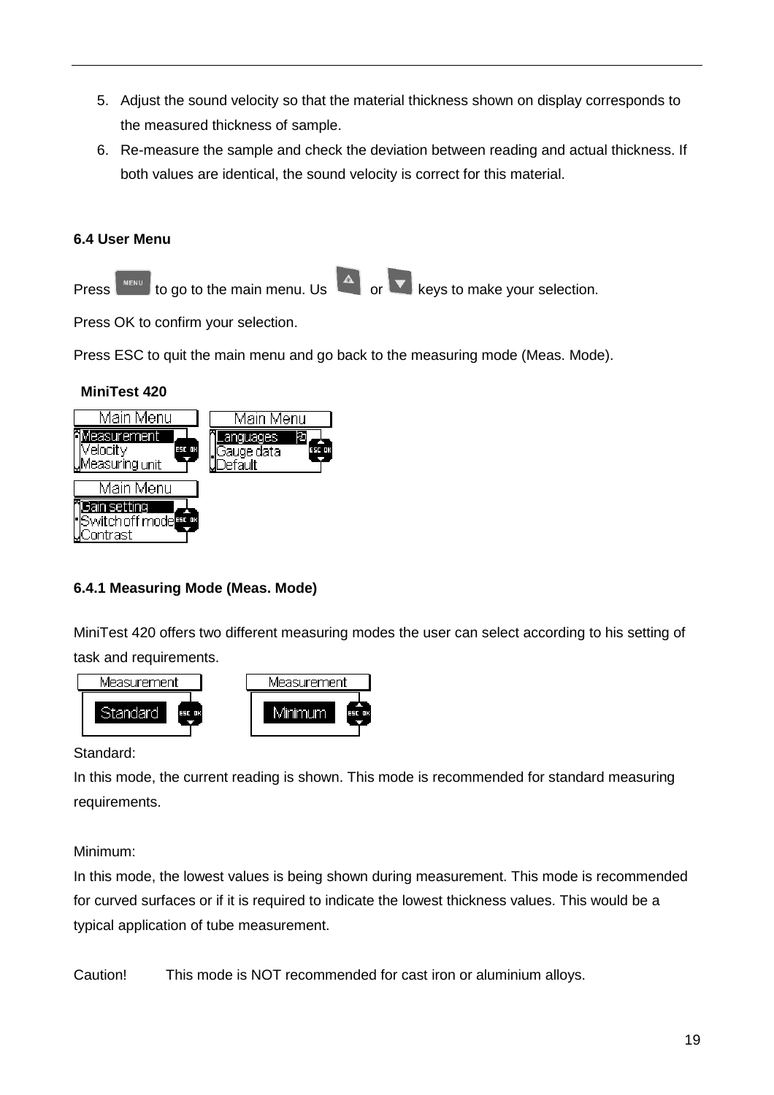- 5. Adjust the sound velocity so that the material thickness shown on display corresponds to the measured thickness of sample.
- 6. Re-measure the sample and check the deviation between reading and actual thickness. If both values are identical, the sound velocity is correct for this material.

# **6.4 User Menu**



Press OK to confirm your selection.

Press ESC to quit the main menu and go back to the measuring mode (Meas. Mode).

# **MiniTest 420**



# **6.4.1 Measuring Mode (Meas. Mode)**

MiniTest 420 offers two different measuring modes the user can select according to his setting of task and requirements.



#### Standard:

In this mode, the current reading is shown. This mode is recommended for standard measuring requirements.

# Minimum:

In this mode, the lowest values is being shown during measurement. This mode is recommended for curved surfaces or if it is required to indicate the lowest thickness values. This would be a typical application of tube measurement.

Caution! This mode is NOT recommended for cast iron or aluminium alloys.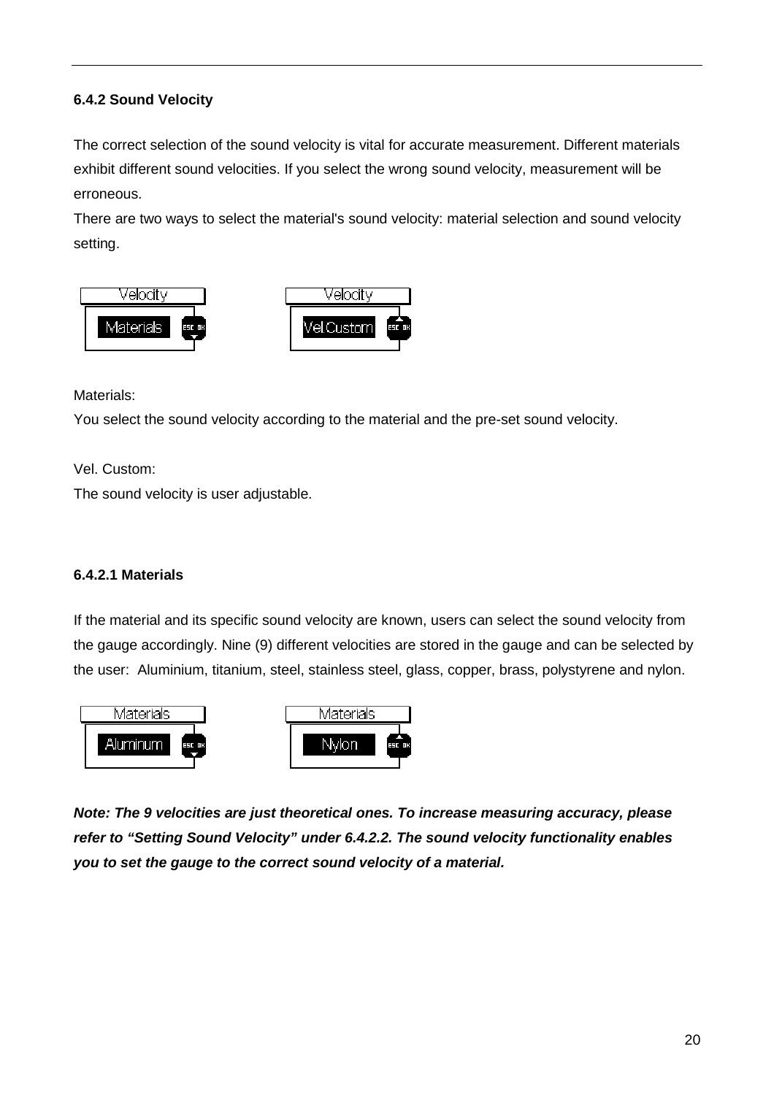# **6.4.2 Sound Velocity**

The correct selection of the sound velocity is vital for accurate measurement. Different materials exhibit different sound velocities. If you select the wrong sound velocity, measurement will be erroneous.

There are two ways to select the material's sound velocity: material selection and sound velocity setting.



Materials:

You select the sound velocity according to the material and the pre-set sound velocity.

Vel. Custom:

The sound velocity is user adjustable.

# **6.4.2.1 Materials**

If the material and its specific sound velocity are known, users can select the sound velocity from the gauge accordingly. Nine (9) different velocities are stored in the gauge and can be selected by the user: Aluminium, titanium, steel, stainless steel, glass, copper, brass, polystyrene and nylon.



**Note: The 9 velocities are just theoretical ones. To increase measuring accuracy, please refer to "Setting Sound Velocity" under 6.4.2.2. The sound velocity functionality enables you to set the gauge to the correct sound velocity of a material.**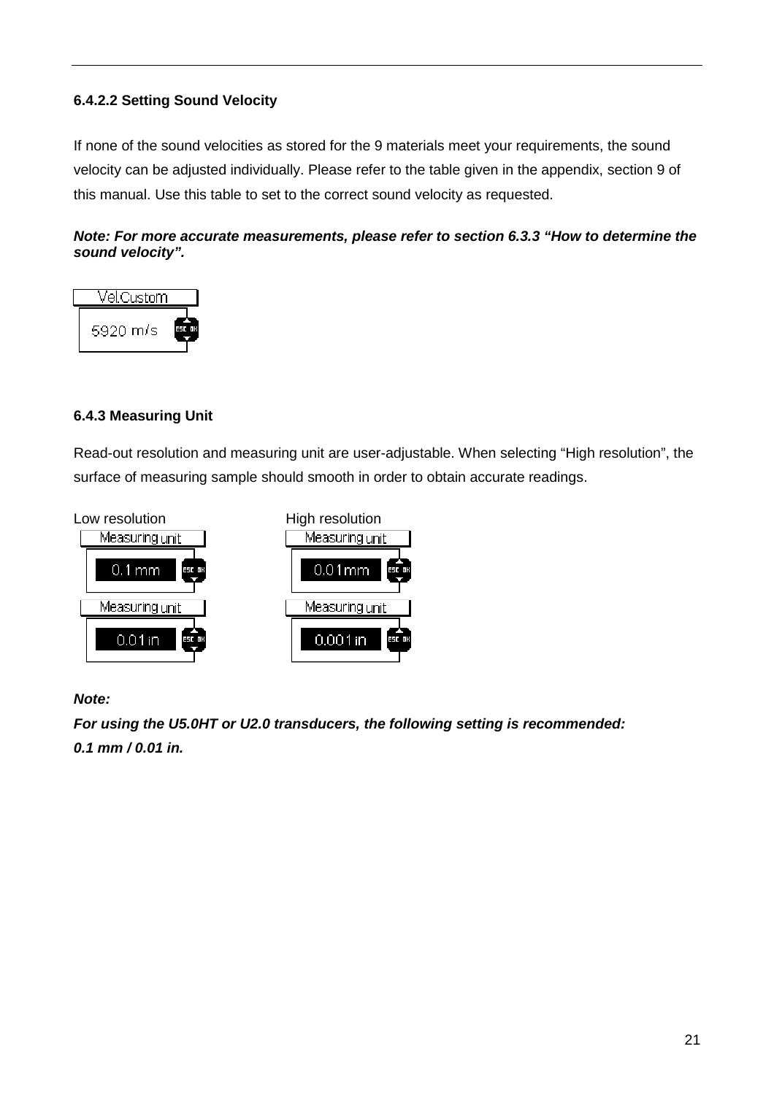# **6.4.2.2 Setting Sound Velocity**

If none of the sound velocities as stored for the 9 materials meet your requirements, the sound velocity can be adjusted individually. Please refer to the table given in the appendix, section 9 of this manual. Use this table to set to the correct sound velocity as requested.

### **Note: For more accurate measurements, please refer to section 6.3.3 "How to determine the sound velocity".**



# **6.4.3 Measuring Unit**

Read-out resolution and measuring unit are user-adjustable. When selecting "High resolution", the surface of measuring sample should smooth in order to obtain accurate readings.



#### **Note:**

**For using the U5.0HT or U2.0 transducers, the following setting is recommended: 0.1 mm / 0.01 in.**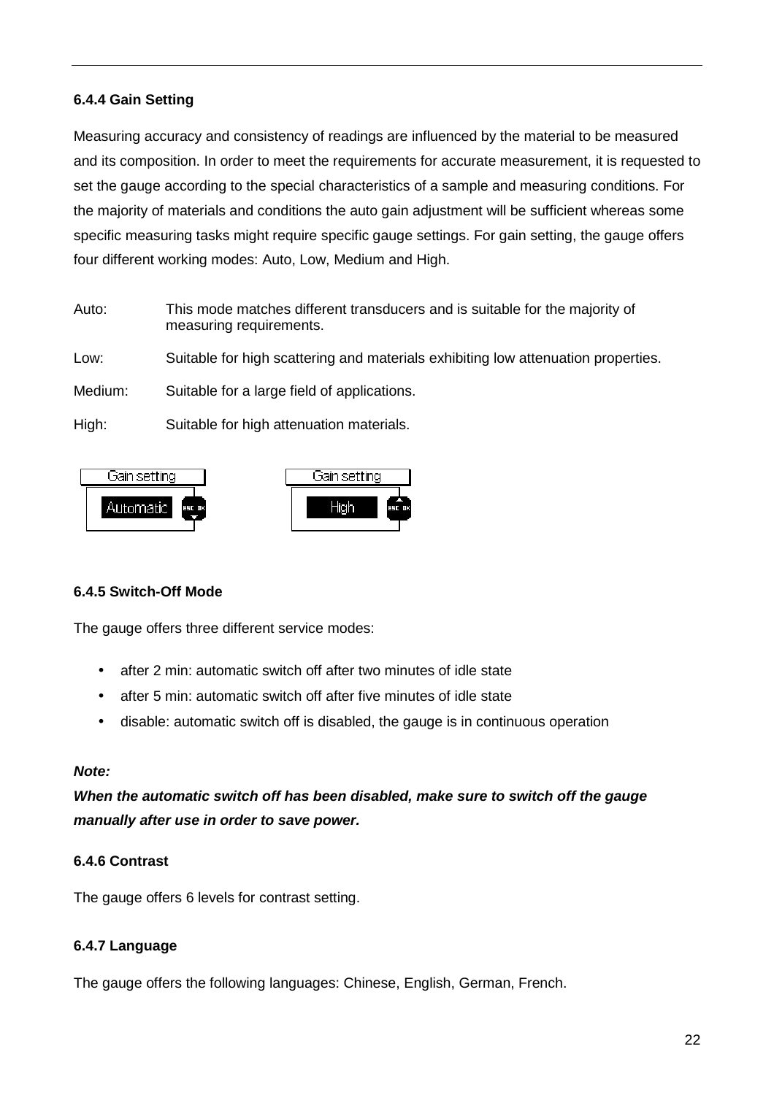### **6.4.4 Gain Setting**

Measuring accuracy and consistency of readings are influenced by the material to be measured and its composition. In order to meet the requirements for accurate measurement, it is requested to set the gauge according to the special characteristics of a sample and measuring conditions. For the majority of materials and conditions the auto gain adjustment will be sufficient whereas some specific measuring tasks might require specific gauge settings. For gain setting, the gauge offers four different working modes: Auto, Low, Medium and High.

Auto: This mode matches different transducers and is suitable for the majority of measuring requirements.

Low: Suitable for high scattering and materials exhibiting low attenuation properties.

Medium: Suitable for a large field of applications.

High: Suitable for high attenuation materials.



#### **6.4.5 Switch-Off Mode**

The gauge offers three different service modes:

- after 2 min: automatic switch off after two minutes of idle state
- after 5 min: automatic switch off after five minutes of idle state
- disable: automatic switch off is disabled, the gauge is in continuous operation

#### **Note:**

**When the automatic switch off has been disabled, make sure to switch off the gauge manually after use in order to save power.** 

#### **6.4.6 Contrast**

The gauge offers 6 levels for contrast setting.

#### **6.4.7 Language**

The gauge offers the following languages: Chinese, English, German, French.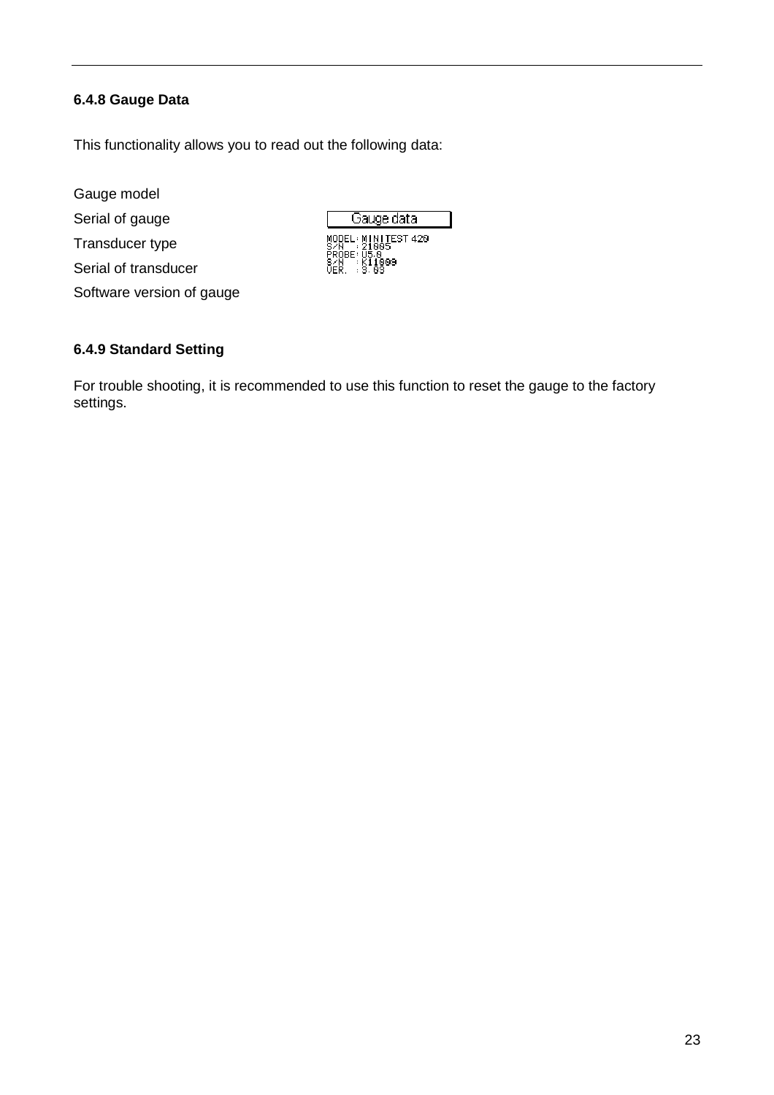# **6.4.8 Gauge Data**

This functionality allows you to read out the following data:

Gauge model

Serial of gauge

Transducer type

Serial of transducer

Software version of gauge

# **6.4.9 Standard Setting**

For trouble shooting, it is recommended to use this function to reset the gauge to the factory settings.

Gauge data

WODEL: MINITEST 420<br>SZN : 21005<br>PROBE: 05.0<br>SZN : K11009<br>UER. : 3.03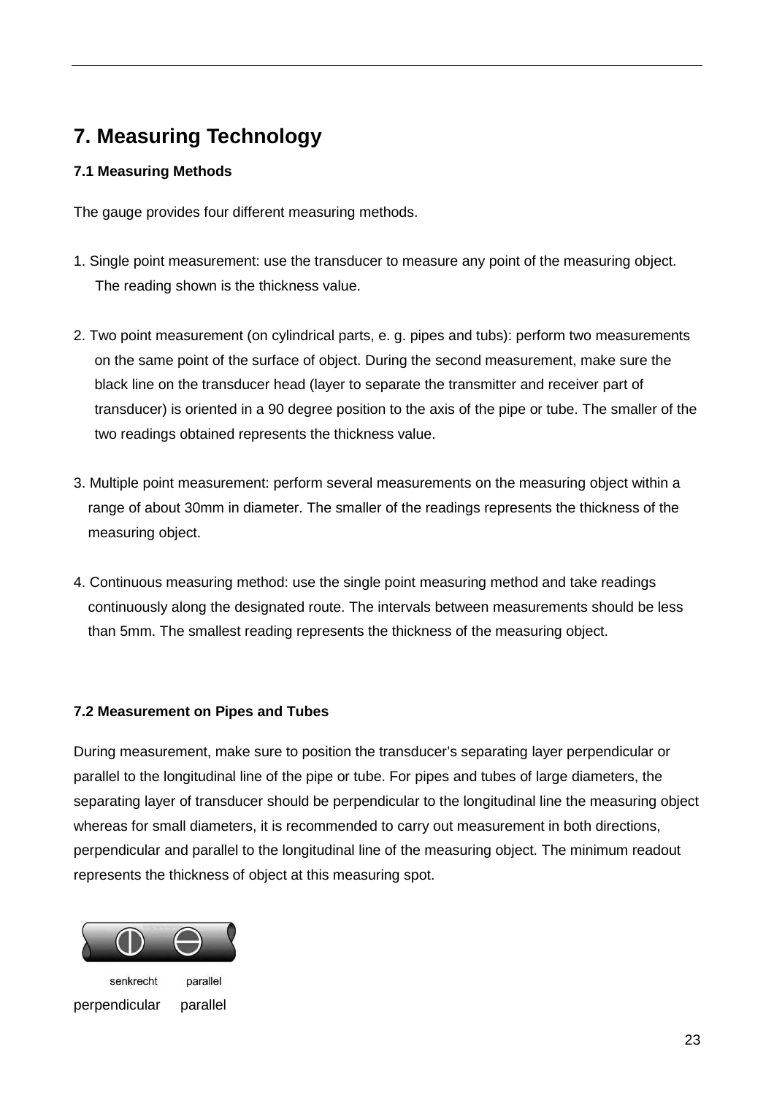# **7. Measuring Technology**

# **7.1 Measuring Methods**

The gauge provides four different measuring methods.

- 1. Single point measurement: use the transducer to measure any point of the measuring object. The reading shown is the thickness value.
- 2. Two point measurement (on cylindrical parts, e. g. pipes and tubs): perform two measurements on the same point of the surface of object. During the second measurement, make sure the black line on the transducer head (layer to separate the transmitter and receiver part of transducer) is oriented in a 90 degree position to the axis of the pipe or tube. The smaller of the two readings obtained represents the thickness value.
- 3. Multiple point measurement: perform several measurements on the measuring object within a range of about 30mm in diameter. The smaller of the readings represents the thickness of the measuring object.
- 4. Continuous measuring method: use the single point measuring method and take readings continuously along the designated route. The intervals between measurements should be less than 5mm. The smallest reading represents the thickness of the measuring object.

# **7.2 Measurement on Pipes and Tubes**

During measurement, make sure to position the transducer's separating layer perpendicular or parallel to the longitudinal line of the pipe or tube. For pipes and tubes of large diameters, the separating layer of transducer should be perpendicular to the longitudinal line the measuring object whereas for small diameters, it is recommended to carry out measurement in both directions, perpendicular and parallel to the longitudinal line of the measuring object. The minimum readout represents the thickness of object at this measuring spot.



senkrecht parallel perpendicular parallel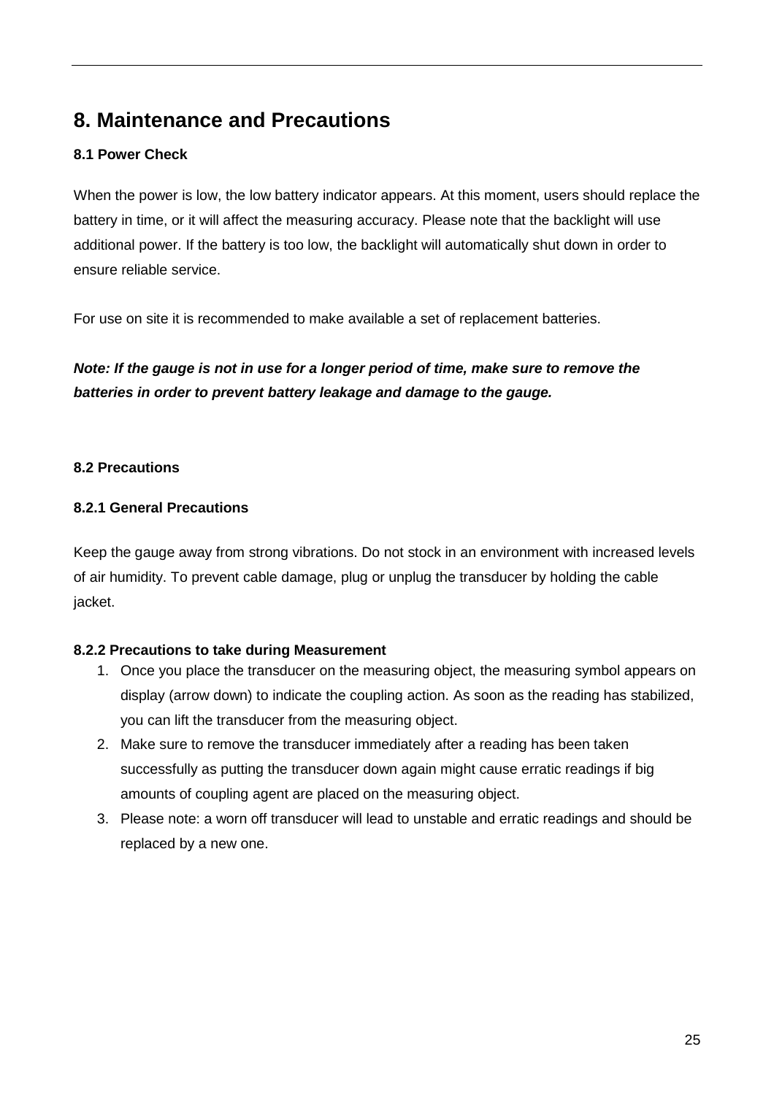# **8. Maintenance and Precautions**

# **8.1 Power Check**

When the power is low, the low battery indicator appears. At this moment, users should replace the battery in time, or it will affect the measuring accuracy. Please note that the backlight will use additional power. If the battery is too low, the backlight will automatically shut down in order to ensure reliable service.

For use on site it is recommended to make available a set of replacement batteries.

# **Note: If the gauge is not in use for a longer period of time, make sure to remove the batteries in order to prevent battery leakage and damage to the gauge.**

# **8.2 Precautions**

# **8.2.1 General Precautions**

Keep the gauge away from strong vibrations. Do not stock in an environment with increased levels of air humidity. To prevent cable damage, plug or unplug the transducer by holding the cable jacket.

# **8.2.2 Precautions to take during Measurement**

- 1. Once you place the transducer on the measuring object, the measuring symbol appears on display (arrow down) to indicate the coupling action. As soon as the reading has stabilized, you can lift the transducer from the measuring object.
- 2. Make sure to remove the transducer immediately after a reading has been taken successfully as putting the transducer down again might cause erratic readings if big amounts of coupling agent are placed on the measuring object.
- 3. Please note: a worn off transducer will lead to unstable and erratic readings and should be replaced by a new one.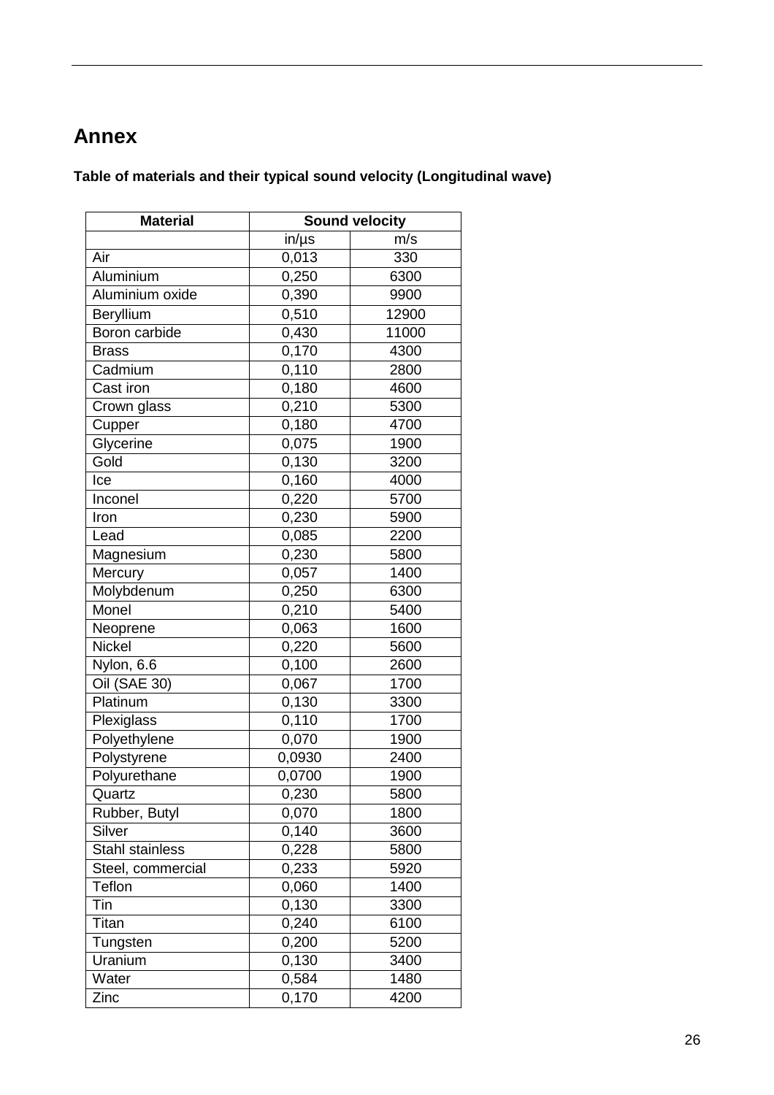# **Annex**

**Table of materials and their typical sound velocity (Longitudinal wave)** 

| <b>Material</b>   |            | <b>Sound velocity</b> |
|-------------------|------------|-----------------------|
|                   | $in/\mu s$ | m/s                   |
| Air               | 0,013      | 330                   |
| Aluminium         | 0,250      | 6300                  |
| Aluminium oxide   | 0,390      | 9900                  |
| Beryllium         | 0,510      | 12900                 |
| Boron carbide     | 0,430      | 11000                 |
| <b>Brass</b>      | 0,170      | 4300                  |
| Cadmium           | 0,110      | 2800                  |
| Cast iron         | 0,180      | 4600                  |
| Crown glass       | 0,210      | 5300                  |
| Cupper            | 0,180      | 4700                  |
| Glycerine         | 0,075      | 1900                  |
| Gold              | 0,130      | 3200                  |
| Ice               | 0,160      | 4000                  |
| Inconel           | 0,220      | 5700                  |
| Iron              | 0,230      | 5900                  |
| Lead              | 0,085      | 2200                  |
| Magnesium         | 0,230      | 5800                  |
| Mercury           | 0,057      | 1400                  |
| Molybdenum        | 0,250      | 6300                  |
| Monel             | 0,210      | 5400                  |
| Neoprene          | 0,063      | 1600                  |
| <b>Nickel</b>     | 0,220      | 5600                  |
| Nylon, 6.6        | 0,100      | 2600                  |
| Oil (SAE 30)      | 0,067      | 1700                  |
| Platinum          | 0,130      | 3300                  |
| Plexiglass        | 0,110      | 1700                  |
| Polyethylene      | 0,070      | 1900                  |
| Polystyrene       | 0,0930     | 2400                  |
| Polyurethane      | 0,0700     | 1900                  |
| Quartz            | 0,230      | 5800                  |
| Rubber, Butyl     | 0,070      | 1800                  |
| Silver            | 0,140      | 3600                  |
| Stahl stainless   | 0,228      | 5800                  |
| Steel, commercial | 0,233      | 5920                  |
| Teflon            | 0,060      | 1400                  |
| Tin               | 0,130      | 3300                  |
| Titan             | 0,240      | 6100                  |
| Tungsten          | 0,200      | 5200                  |
| Uranium           | 0,130      | 3400                  |
| Water             | 0,584      | 1480                  |
| Zinc              | 0,170      | 4200                  |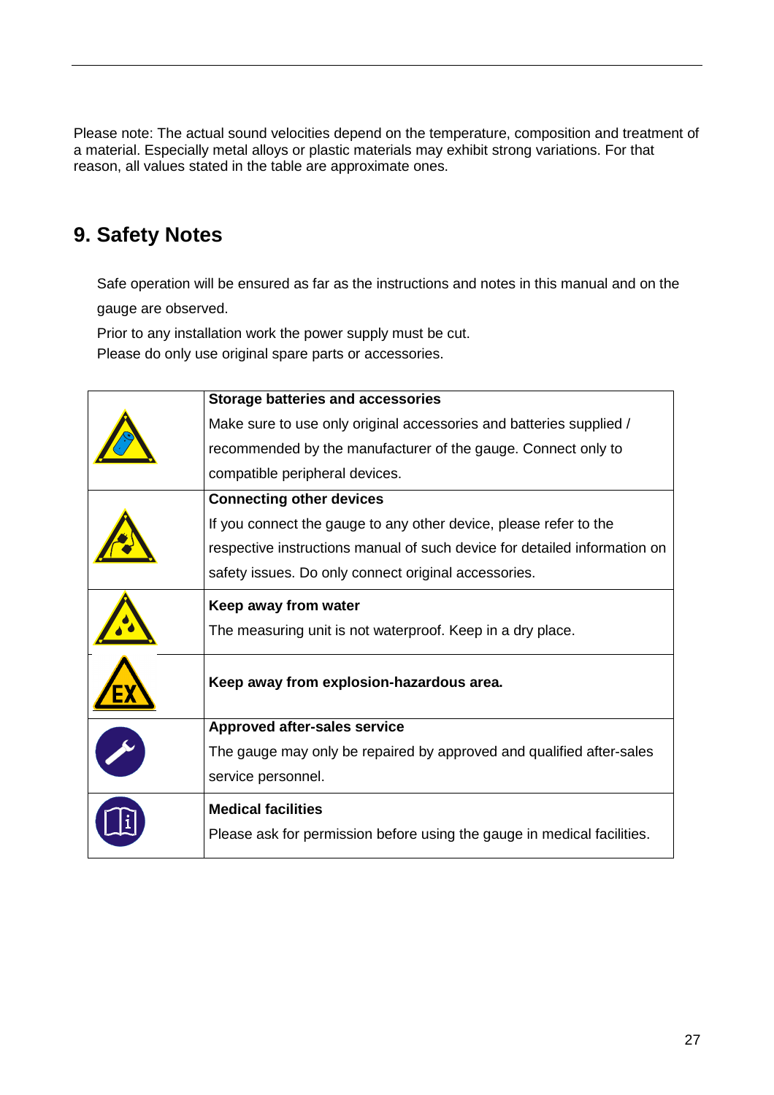Please note: The actual sound velocities depend on the temperature, composition and treatment of a material. Especially metal alloys or plastic materials may exhibit strong variations. For that reason, all values stated in the table are approximate ones.

# **9. Safety Notes**

Safe operation will be ensured as far as the instructions and notes in this manual and on the gauge are observed.

Prior to any installation work the power supply must be cut.

Please do only use original spare parts or accessories.

| <b>Storage batteries and accessories</b>                                  |
|---------------------------------------------------------------------------|
| Make sure to use only original accessories and batteries supplied /       |
| recommended by the manufacturer of the gauge. Connect only to             |
| compatible peripheral devices.                                            |
| <b>Connecting other devices</b>                                           |
| If you connect the gauge to any other device, please refer to the         |
| respective instructions manual of such device for detailed information on |
| safety issues. Do only connect original accessories.                      |
| Keep away from water                                                      |
| The measuring unit is not waterproof. Keep in a dry place.                |
| Keep away from explosion-hazardous area.                                  |
| Approved after-sales service                                              |
| The gauge may only be repaired by approved and qualified after-sales      |
| service personnel.                                                        |
| <b>Medical facilities</b>                                                 |
| Please ask for permission before using the gauge in medical facilities.   |